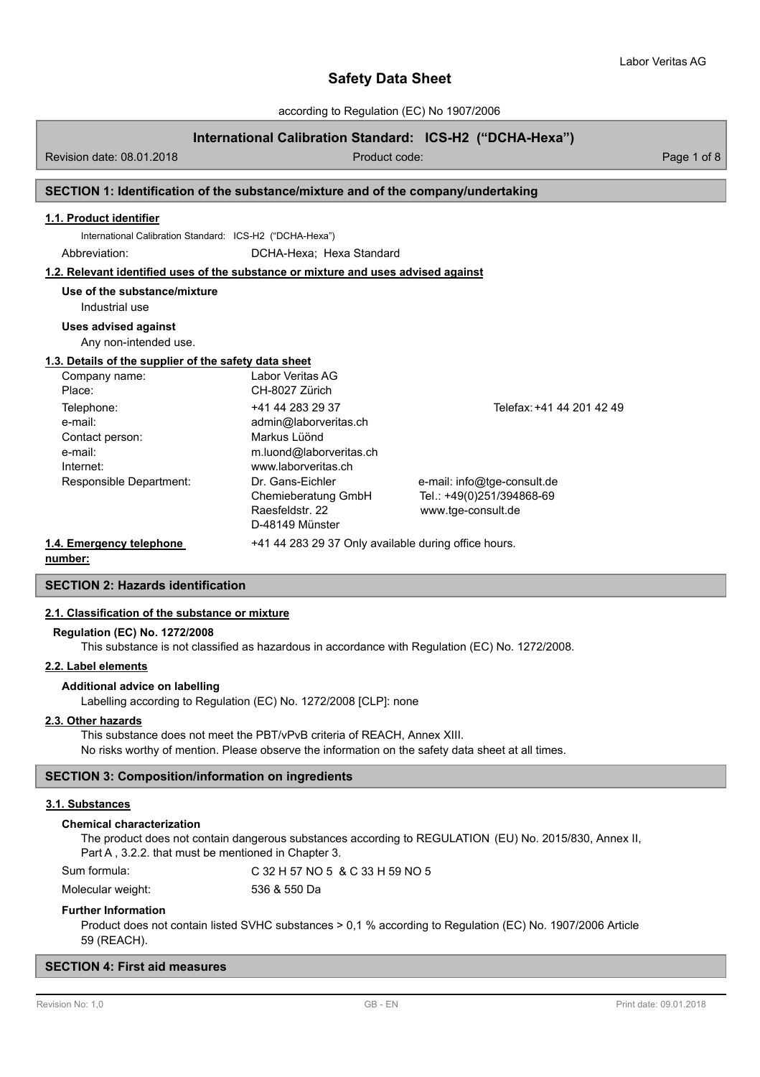according to Regulation (EC) No 1907/2006

## **International Calibration Standard: ICS-H2 ("DCHA-Hexa")**

Revision date: 08.01.2018 **Product code:** Product code: Product code: Page 1 of 8

## **SECTION 1: Identification of the substance/mixture and of the company/undertaking**

## **1.1. Product identifier**

International Calibration Standard: ICS-H2 ("DCHA-Hexa")

Abbreviation: DCHA-Hexa; Hexa Standard

#### **1.2. Relevant identified uses of the substance or mixture and uses advised against**

**Use of the substance/mixture**

Industrial use

### **Uses advised against**

Any non-intended use.

### **1.3. Details of the supplier of the safety data sheet**

| Company name:            | Labor Veritas AG                                     |                             |
|--------------------------|------------------------------------------------------|-----------------------------|
| Place:                   | CH-8027 Zürich                                       |                             |
| Telephone:               | +41 44 283 29 37                                     | Telefax: +41 44 201 42 49   |
| e-mail:                  | admin@laborveritas.ch                                |                             |
| Contact person:          | Markus Lüönd                                         |                             |
| e-mail:                  | m.luond@laborveritas.ch                              |                             |
| Internet:                | www.laborveritas.ch                                  |                             |
| Responsible Department:  | Dr. Gans-Eichler                                     | e-mail: info@tge-consult.de |
|                          | Chemieberatung GmbH                                  | Tel.: +49(0)251/394868-69   |
|                          | Raesfeldstr, 22                                      | www.tge-consult.de          |
|                          | D-48149 Münster                                      |                             |
| 1.4. Emergency telephone | +41 44 283 29 37 Only available during office hours. |                             |

**number:**

## **SECTION 2: Hazards identification**

## **2.1. Classification of the substance or mixture**

#### **Regulation (EC) No. 1272/2008**

This substance is not classified as hazardous in accordance with Regulation (EC) No. 1272/2008.

### **2.2. Label elements**

### **Additional advice on labelling**

Labelling according to Regulation (EC) No. 1272/2008 [CLP]: none

#### **2.3. Other hazards**

This substance does not meet the PBT/vPvB criteria of REACH, Annex XIII. No risks worthy of mention. Please observe the information on the safety data sheet at all times.

### **SECTION 3: Composition/information on ingredients**

## **3.1. Substances**

#### **Chemical characterization**

The product does not contain dangerous substances according to REGULATION (EU) No. 2015/830, Annex II, Part A , 3.2.2. that must be mentioned in Chapter 3.

Sum formula: C 32 H 57 NO 5 & C 33 H 59 NO 5

Molecular weight: 536 & 550 Da

### **Further Information**

Product does not contain listed SVHC substances > 0,1 % according to Regulation (EC) No. 1907/2006 Article 59 (REACH).

### **SECTION 4: First aid measures**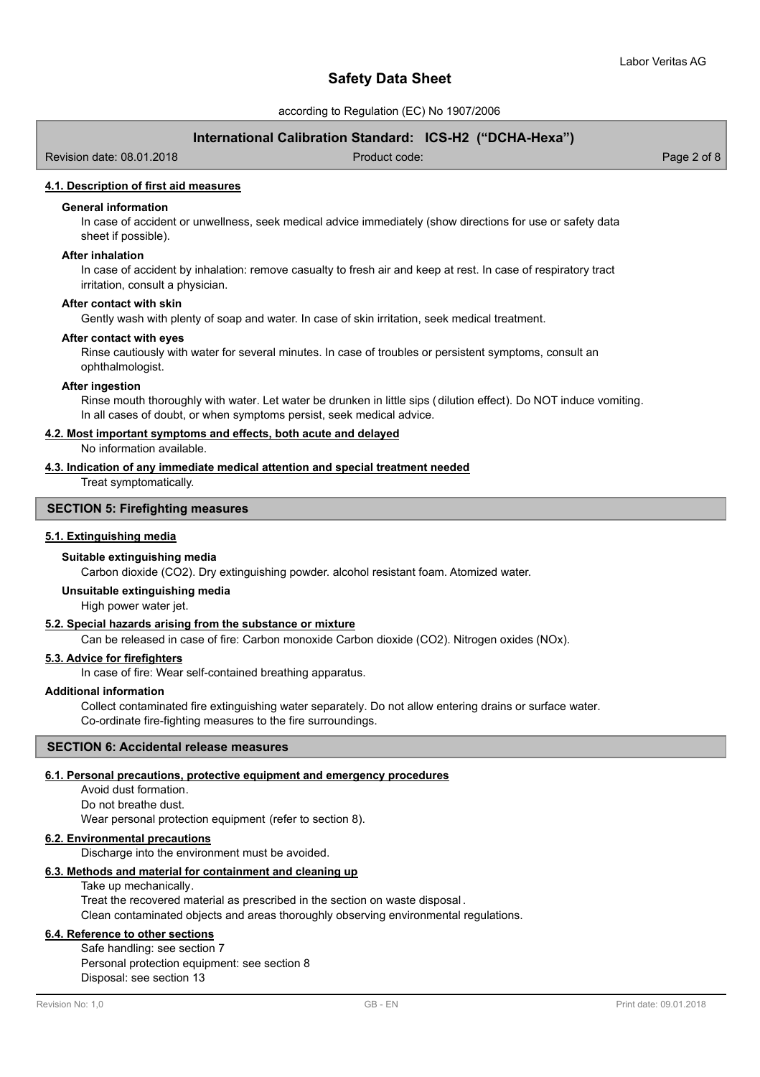according to Regulation (EC) No 1907/2006

## **International Calibration Standard: ICS-H2 ("DCHA-Hexa")**

Revision date: 08.01.2018 Product code: Page 2 of 8

## **4.1. Description of first aid measures**

## **General information**

In case of accident or unwellness, seek medical advice immediately (show directions for use or safety data sheet if possible).

### **After inhalation**

In case of accident by inhalation: remove casualty to fresh air and keep at rest. In case of respiratory tract irritation, consult a physician.

### **After contact with skin**

Gently wash with plenty of soap and water. In case of skin irritation, seek medical treatment.

### **After contact with eyes**

Rinse cautiously with water for several minutes. In case of troubles or persistent symptoms, consult an ophthalmologist.

## **After ingestion**

Rinse mouth thoroughly with water. Let water be drunken in little sips (dilution effect). Do NOT induce vomiting. In all cases of doubt, or when symptoms persist, seek medical advice.

### **4.2. Most important symptoms and effects, both acute and delayed**

No information available.

## **4.3. Indication of any immediate medical attention and special treatment needed**

Treat symptomatically.

## **SECTION 5: Firefighting measures**

### **5.1. Extinguishing media**

### **Suitable extinguishing media**

Carbon dioxide (CO2). Dry extinguishing powder. alcohol resistant foam. Atomized water.

### **Unsuitable extinguishing media**

High power water jet.

## **5.2. Special hazards arising from the substance or mixture**

Can be released in case of fire: Carbon monoxide Carbon dioxide (CO2). Nitrogen oxides (NOx).

## **5.3. Advice for firefighters**

In case of fire: Wear self-contained breathing apparatus.

## **Additional information**

Collect contaminated fire extinguishing water separately. Do not allow entering drains or surface water. Co-ordinate fire-fighting measures to the fire surroundings.

## **SECTION 6: Accidental release measures**

### **6.1. Personal precautions, protective equipment and emergency procedures**

Avoid dust formation. Do not breathe dust. Wear personal protection equipment (refer to section 8).

### **6.2. Environmental precautions**

Discharge into the environment must be avoided.

### **6.3. Methods and material for containment and cleaning up**

Take up mechanically.

Treat the recovered material as prescribed in the section on waste disposal . Clean contaminated objects and areas thoroughly observing environmental regulations.

## **6.4. Reference to other sections**

Safe handling: see section 7 Personal protection equipment: see section 8 Disposal: see section 13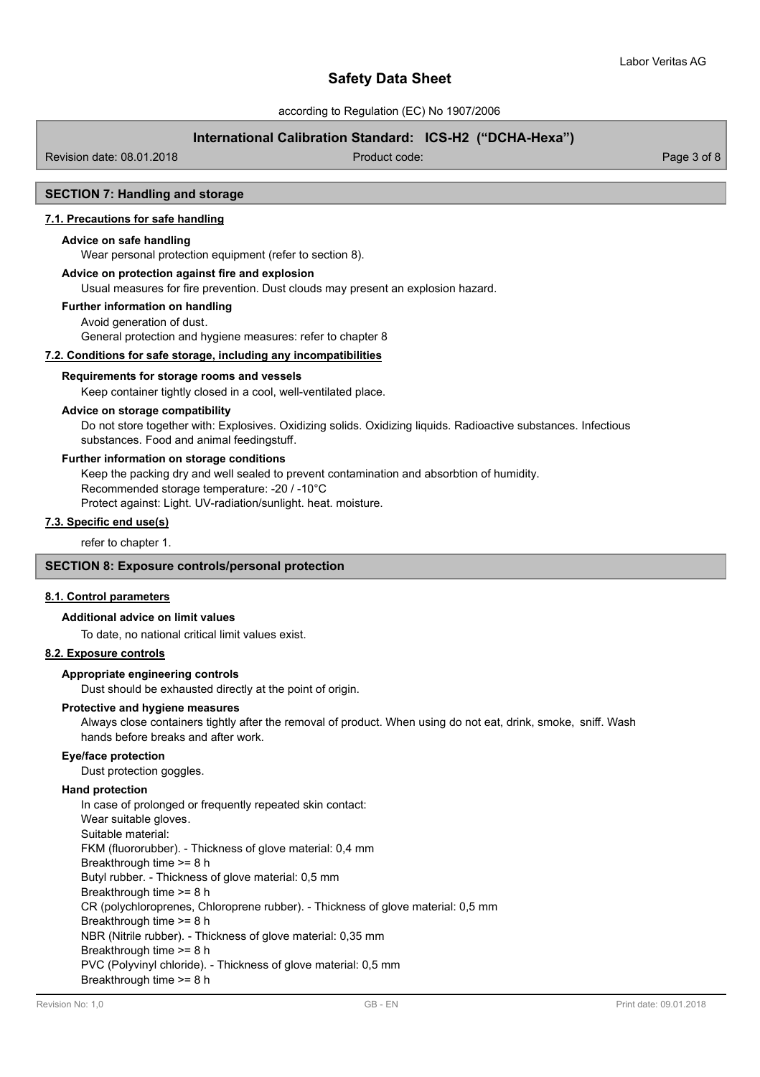according to Regulation (EC) No 1907/2006

## **International Calibration Standard: ICS-H2 ("DCHA-Hexa")**

Revision date: 08.01.2018 Product code: Page 3 of 8

## **SECTION 7: Handling and storage**

## **7.1. Precautions for safe handling**

### **Advice on safe handling**

Wear personal protection equipment (refer to section 8).

## **Advice on protection against fire and explosion**

Usual measures for fire prevention. Dust clouds may present an explosion hazard.

### **Further information on handling**

Avoid generation of dust. General protection and hygiene measures: refer to chapter 8

## **7.2. Conditions for safe storage, including any incompatibilities**

#### **Requirements for storage rooms and vessels**

Keep container tightly closed in a cool, well-ventilated place.

## **Advice on storage compatibility**

Do not store together with: Explosives. Oxidizing solids. Oxidizing liquids. Radioactive substances. Infectious substances. Food and animal feedingstuff.

### **Further information on storage conditions**

Keep the packing dry and well sealed to prevent contamination and absorbtion of humidity.

Recommended storage temperature: -20 / -10°C

Protect against: Light. UV-radiation/sunlight. heat. moisture.

## **7.3. Specific end use(s)**

refer to chapter 1.

## **SECTION 8: Exposure controls/personal protection**

### **8.1. Control parameters**

### **Additional advice on limit values**

To date, no national critical limit values exist.

### **8.2. Exposure controls**

### **Appropriate engineering controls**

Dust should be exhausted directly at the point of origin.

### **Protective and hygiene measures**

Always close containers tightly after the removal of product. When using do not eat, drink, smoke, sniff. Wash hands before breaks and after work.

#### **Eye/face protection**

Dust protection goggles.

### **Hand protection**

In case of prolonged or frequently repeated skin contact: Wear suitable gloves. Suitable material: FKM (fluororubber). - Thickness of glove material: 0,4 mm Breakthrough time >= 8 h Butyl rubber. - Thickness of glove material: 0,5 mm Breakthrough time >= 8 h CR (polychloroprenes, Chloroprene rubber). - Thickness of glove material: 0,5 mm Breakthrough time >= 8 h NBR (Nitrile rubber). - Thickness of glove material: 0,35 mm Breakthrough time >= 8 h PVC (Polyvinyl chloride). - Thickness of glove material: 0,5 mm Breakthrough time >= 8 h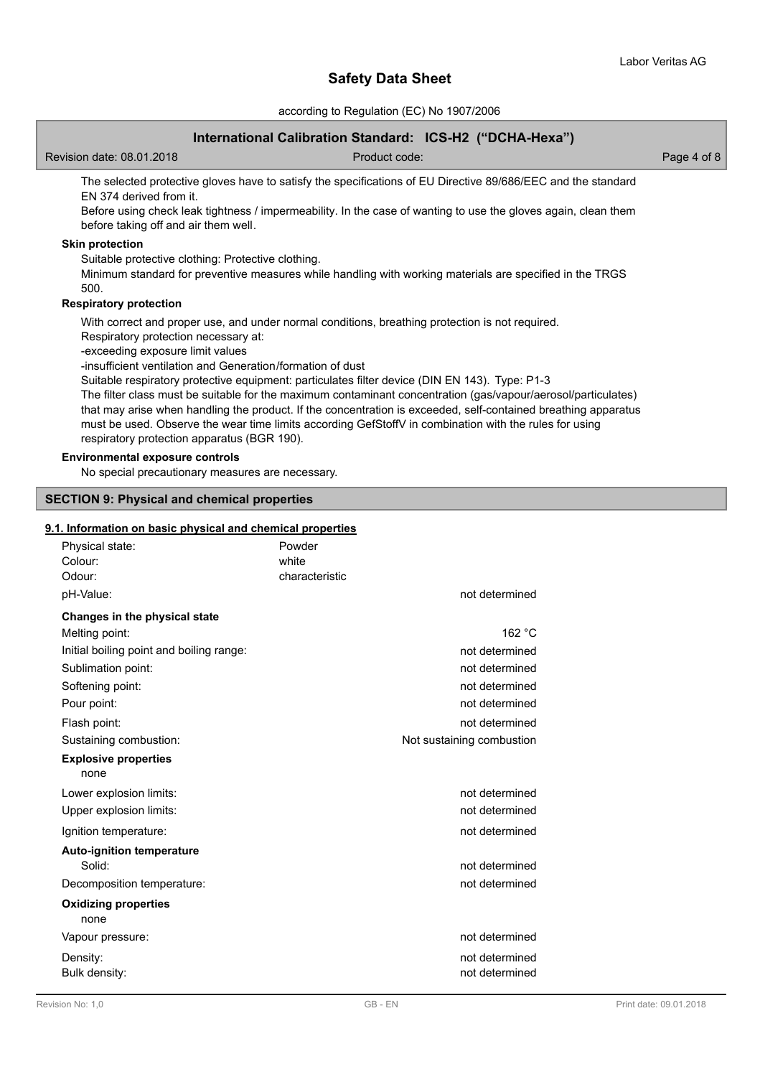according to Regulation (EC) No 1907/2006

## **International Calibration Standard: ICS-H2 ("DCHA-Hexa")**

Revision date: 08.01.2018 Product code: Page 4 of 8

The selected protective gloves have to satisfy the specifications of EU Directive 89/686/EEC and the standard EN 374 derived from it.

Before using check leak tightness / impermeability. In the case of wanting to use the gloves again, clean them before taking off and air them well.

## **Skin protection**

Suitable protective clothing: Protective clothing.

Minimum standard for preventive measures while handling with working materials are specified in the TRGS 500.

## **Respiratory protection**

With correct and proper use, and under normal conditions, breathing protection is not required.

Respiratory protection necessary at:

-exceeding exposure limit values

-insufficient ventilation and Generation/formation of dust

Suitable respiratory protective equipment: particulates filter device (DIN EN 143). Type: P1-3

The filter class must be suitable for the maximum contaminant concentration (gas/vapour/aerosol/particulates) that may arise when handling the product. If the concentration is exceeded, self-contained breathing apparatus must be used. Observe the wear time limits according GefStoffV in combination with the rules for using respiratory protection apparatus (BGR 190).

## **Environmental exposure controls**

No special precautionary measures are necessary.

## **SECTION 9: Physical and chemical properties**

## **9.1. Information on basic physical and chemical properties**

| Physical state:<br>Colour:<br>Odour:     | Powder<br>white<br>characteristic |                           |
|------------------------------------------|-----------------------------------|---------------------------|
| pH-Value:                                |                                   | not determined            |
| Changes in the physical state            |                                   |                           |
| Melting point:                           |                                   | 162 °C                    |
| Initial boiling point and boiling range: |                                   | not determined            |
| Sublimation point:                       |                                   | not determined            |
| Softening point:                         |                                   | not determined            |
| Pour point:                              |                                   | not determined            |
| Flash point:                             |                                   | not determined            |
| Sustaining combustion:                   |                                   | Not sustaining combustion |
| <b>Explosive properties</b><br>none      |                                   |                           |
| Lower explosion limits:                  |                                   | not determined            |
| Upper explosion limits:                  |                                   | not determined            |
| Ignition temperature:                    |                                   | not determined            |
| <b>Auto-ignition temperature</b>         |                                   |                           |
| Solid:                                   |                                   | not determined            |
| Decomposition temperature:               |                                   | not determined            |
| <b>Oxidizing properties</b><br>none      |                                   |                           |
| Vapour pressure:                         |                                   | not determined            |
| Density:                                 |                                   | not determined            |
| Bulk density:                            |                                   | not determined            |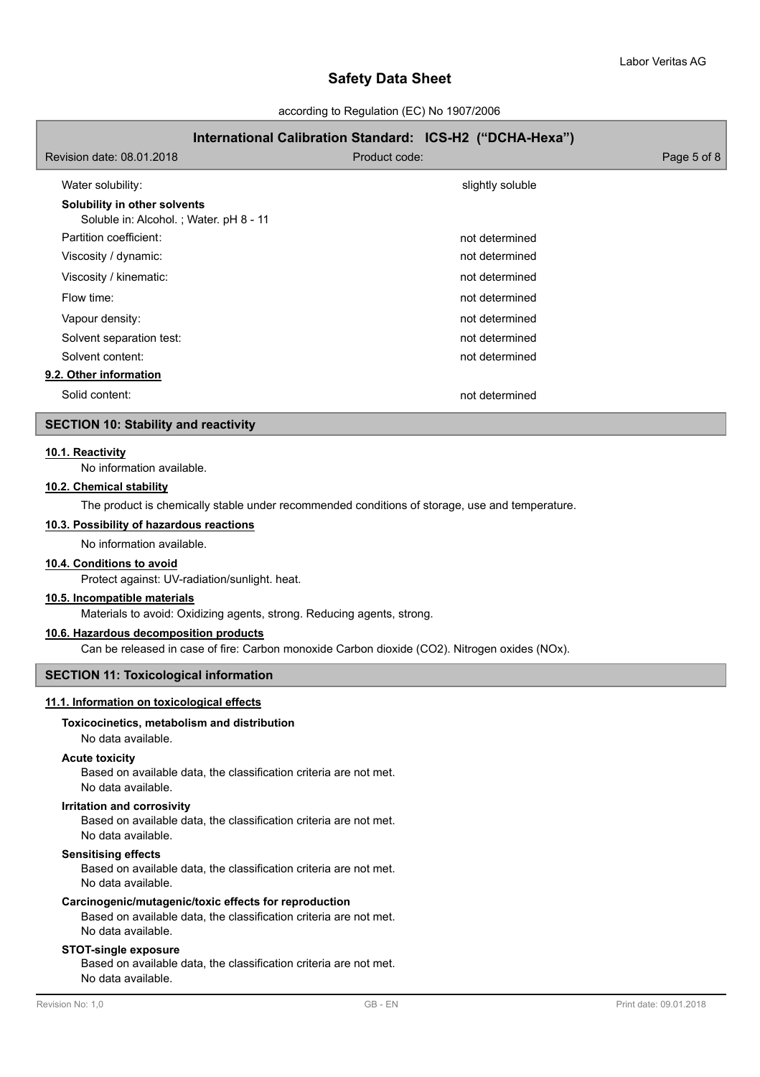according to Regulation (EC) No 1907/2006

## **International Calibration Standard: ICS-H2 ("DCHA-Hexa")**

| Revision date: 08.01.2018                                              | Product code:    | Page 5 of 8 |
|------------------------------------------------------------------------|------------------|-------------|
| Water solubility:                                                      | slightly soluble |             |
| Solubility in other solvents<br>Soluble in: Alcohol.; Water. pH 8 - 11 |                  |             |
| Partition coefficient:                                                 | not determined   |             |
| Viscosity / dynamic:                                                   | not determined   |             |
| Viscosity / kinematic:                                                 | not determined   |             |
| Flow time:                                                             | not determined   |             |
| Vapour density:                                                        | not determined   |             |
| Solvent separation test:                                               | not determined   |             |
| Solvent content:                                                       | not determined   |             |
| 9.2. Other information                                                 |                  |             |
| Solid content:                                                         | not determined   |             |

### **SECTION 10: Stability and reactivity**

### **10.1. Reactivity**

No information available.

## **10.2. Chemical stability**

The product is chemically stable under recommended conditions of storage, use and temperature.

## **10.3. Possibility of hazardous reactions**

No information available.

### **10.4. Conditions to avoid**

Protect against: UV-radiation/sunlight. heat.

### **10.5. Incompatible materials**

Materials to avoid: Oxidizing agents, strong. Reducing agents, strong.

### **10.6. Hazardous decomposition products**

Can be released in case of fire: Carbon monoxide Carbon dioxide (CO2). Nitrogen oxides (NOx).

## **SECTION 11: Toxicological information**

## **11.1. Information on toxicological effects**

## **Toxicocinetics, metabolism and distribution**

### No data available.

## **Acute toxicity**

Based on available data, the classification criteria are not met. No data available.

#### **Irritation and corrosivity**

Based on available data, the classification criteria are not met. No data available.

### **Sensitising effects**

Based on available data, the classification criteria are not met. No data available.

## **Carcinogenic/mutagenic/toxic effects for reproduction**

Based on available data, the classification criteria are not met. No data available.

## **STOT-single exposure**

Based on available data, the classification criteria are not met. No data available.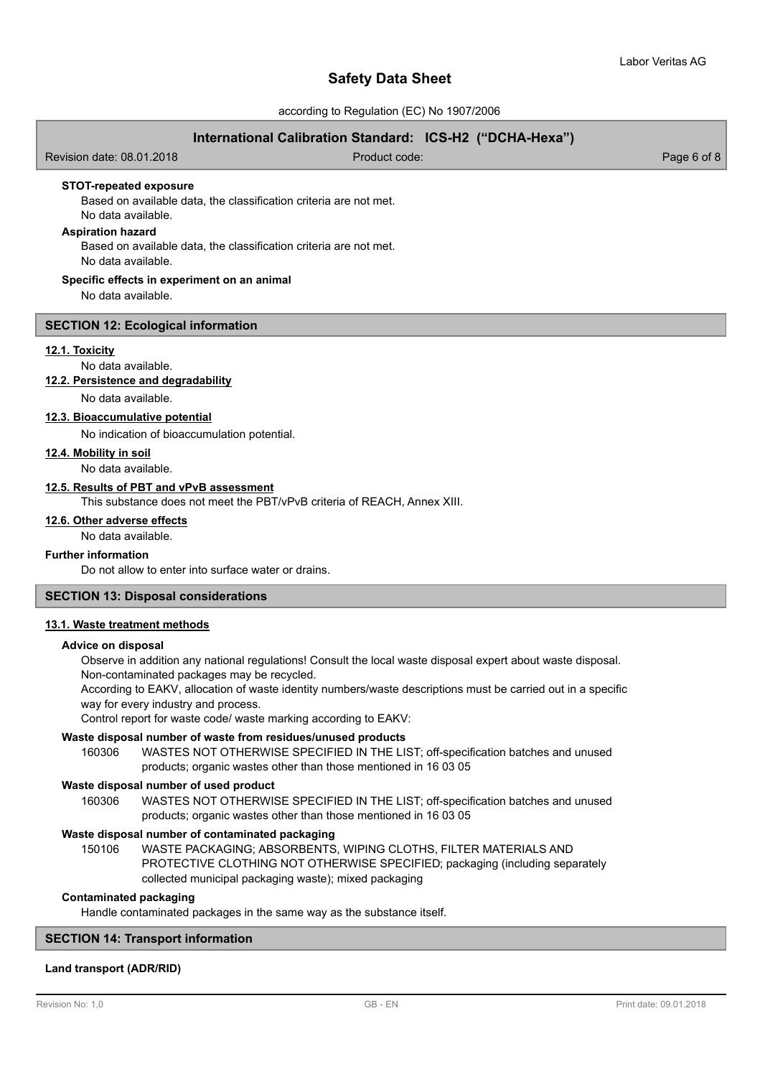according to Regulation (EC) No 1907/2006

## **International Calibration Standard: ICS-H2 ("DCHA-Hexa")**

Revision date: 08.01.2018 Product code: Page 6 of 8

**STOT-repeated exposure**

Based on available data, the classification criteria are not met. No data available.

## **Aspiration hazard**

Based on available data, the classification criteria are not met. No data available.

### **Specific effects in experiment on an animal**

No data available.

### **SECTION 12: Ecological information**

### **12.1. Toxicity**

No data available.

### **12.2. Persistence and degradability**

No data available.

## **12.3. Bioaccumulative potential**

No indication of bioaccumulation potential.

**12.4. Mobility in soil**

## No data available.

## **12.5. Results of PBT and vPvB assessment**

This substance does not meet the PBT/vPvB criteria of REACH, Annex XIII.

### **12.6. Other adverse effects**

No data available.

## **Further information**

Do not allow to enter into surface water or drains.

## **SECTION 13: Disposal considerations**

### **13.1. Waste treatment methods**

#### **Advice on disposal**

Observe in addition any national regulations! Consult the local waste disposal expert about waste disposal. Non-contaminated packages may be recycled.

According to EAKV, allocation of waste identity numbers/waste descriptions must be carried out in a specific way for every industry and process.

Control report for waste code/ waste marking according to EAKV:

## **Waste disposal number of waste from residues/unused products**

160306 WASTES NOT OTHERWISE SPECIFIED IN THE LIST; off-specification batches and unused products; organic wastes other than those mentioned in 16 03 05

### **Waste disposal number of used product**

WASTES NOT OTHERWISE SPECIFIED IN THE LIST; off-specification batches and unused products; organic wastes other than those mentioned in 16 03 05 160306

### **Waste disposal number of contaminated packaging**

WASTE PACKAGING; ABSORBENTS, WIPING CLOTHS, FILTER MATERIALS AND PROTECTIVE CLOTHING NOT OTHERWISE SPECIFIED; packaging (including separately collected municipal packaging waste); mixed packaging 150106

## **Contaminated packaging**

Handle contaminated packages in the same way as the substance itself.

## **SECTION 14: Transport information**

### **Land transport (ADR/RID)**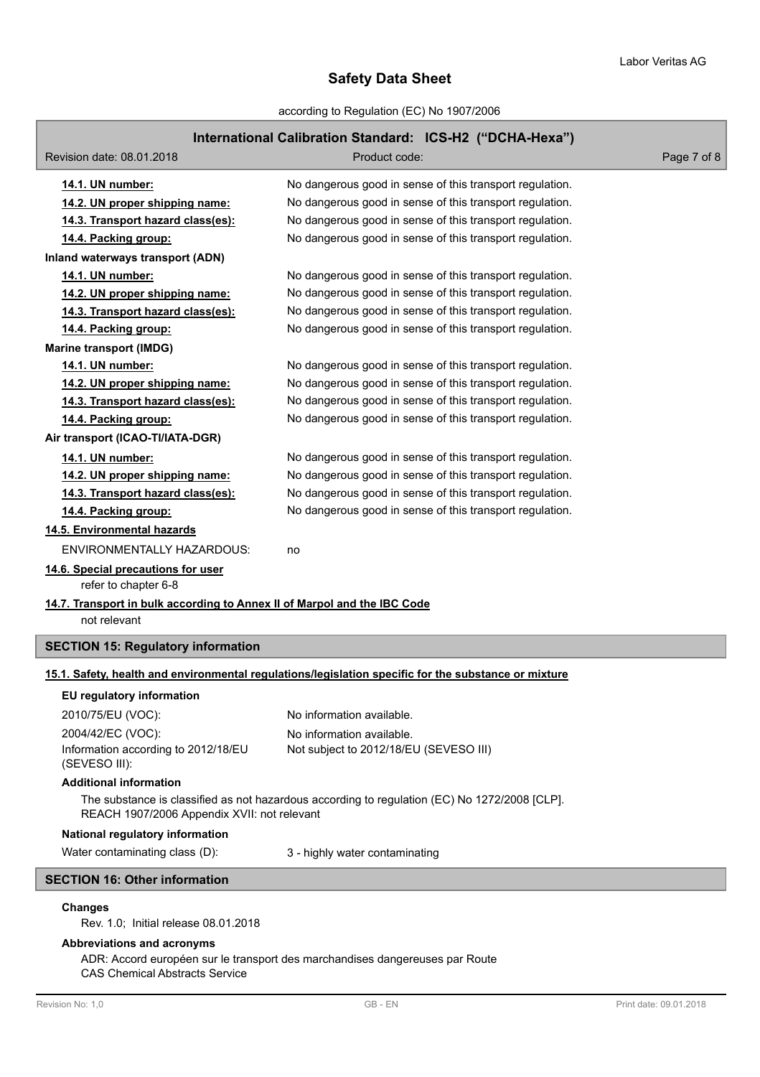according to Regulation (EC) No 1907/2006

# **International Calibration Standard: ICS-H2 ("DCHA-Hexa")**

| Revision date: 08.01.2018                                                                                                                                                       | advilationalistica standard: 199412   Dona-Hoxa J<br>Product code:                                   | Page 7 of 8 |                                |                                |  |  |
|---------------------------------------------------------------------------------------------------------------------------------------------------------------------------------|------------------------------------------------------------------------------------------------------|-------------|--------------------------------|--------------------------------|--|--|
| 14.1. UN number:                                                                                                                                                                | No dangerous good in sense of this transport regulation.                                             |             |                                |                                |  |  |
| 14.2. UN proper shipping name:                                                                                                                                                  | No dangerous good in sense of this transport regulation.                                             |             |                                |                                |  |  |
| 14.3. Transport hazard class(es):                                                                                                                                               | No dangerous good in sense of this transport regulation.                                             |             |                                |                                |  |  |
| 14.4. Packing group:                                                                                                                                                            | No dangerous good in sense of this transport regulation.                                             |             |                                |                                |  |  |
| Inland waterways transport (ADN)                                                                                                                                                |                                                                                                      |             |                                |                                |  |  |
| 14.1. UN number:                                                                                                                                                                | No dangerous good in sense of this transport regulation.                                             |             |                                |                                |  |  |
| 14.2. UN proper shipping name:                                                                                                                                                  | No dangerous good in sense of this transport regulation.                                             |             |                                |                                |  |  |
| 14.3. Transport hazard class(es):                                                                                                                                               | No dangerous good in sense of this transport regulation.                                             |             |                                |                                |  |  |
| 14.4. Packing group:                                                                                                                                                            | No dangerous good in sense of this transport regulation.                                             |             |                                |                                |  |  |
| <b>Marine transport (IMDG)</b>                                                                                                                                                  |                                                                                                      |             |                                |                                |  |  |
| 14.1. UN number:                                                                                                                                                                | No dangerous good in sense of this transport regulation.                                             |             |                                |                                |  |  |
| 14.2. UN proper shipping name:                                                                                                                                                  | No dangerous good in sense of this transport regulation.                                             |             |                                |                                |  |  |
| 14.3. Transport hazard class(es):                                                                                                                                               | No dangerous good in sense of this transport regulation.                                             |             |                                |                                |  |  |
| 14.4. Packing group:                                                                                                                                                            | No dangerous good in sense of this transport regulation.                                             |             |                                |                                |  |  |
| Air transport (ICAO-TI/IATA-DGR)                                                                                                                                                |                                                                                                      |             |                                |                                |  |  |
| 14.1. UN number:                                                                                                                                                                | No dangerous good in sense of this transport regulation.                                             |             |                                |                                |  |  |
| 14.2. UN proper shipping name:                                                                                                                                                  | No dangerous good in sense of this transport regulation.                                             |             |                                |                                |  |  |
| 14.3. Transport hazard class(es):                                                                                                                                               | No dangerous good in sense of this transport regulation.                                             |             |                                |                                |  |  |
| 14.4. Packing group:                                                                                                                                                            | No dangerous good in sense of this transport regulation.                                             |             |                                |                                |  |  |
| 14.5. Environmental hazards                                                                                                                                                     |                                                                                                      |             |                                |                                |  |  |
| ENVIRONMENTALLY HAZARDOUS:                                                                                                                                                      | no                                                                                                   |             |                                |                                |  |  |
| 14.6. Special precautions for user<br>refer to chapter 6-8                                                                                                                      |                                                                                                      |             |                                |                                |  |  |
| 14.7. Transport in bulk according to Annex II of Marpol and the IBC Code<br>not relevant                                                                                        |                                                                                                      |             |                                |                                |  |  |
| <b>SECTION 15: Regulatory information</b>                                                                                                                                       |                                                                                                      |             |                                |                                |  |  |
|                                                                                                                                                                                 | 15.1. Safety, health and environmental regulations/legislation specific for the substance or mixture |             |                                |                                |  |  |
| EU regulatory information                                                                                                                                                       |                                                                                                      |             |                                |                                |  |  |
| 2010/75/EU (VOC):                                                                                                                                                               | No information available.                                                                            |             |                                |                                |  |  |
| 2004/42/EC (VOC):                                                                                                                                                               | No information available.                                                                            |             |                                |                                |  |  |
| Information according to 2012/18/EU<br>(SEVESO III):                                                                                                                            | Not subject to 2012/18/EU (SEVESO III)                                                               |             |                                |                                |  |  |
| <b>Additional information</b>                                                                                                                                                   |                                                                                                      |             |                                |                                |  |  |
| The substance is classified as not hazardous according to regulation (EC) No 1272/2008 [CLP].<br>REACH 1907/2006 Appendix XVII: not relevant<br>National regulatory information |                                                                                                      |             |                                |                                |  |  |
|                                                                                                                                                                                 |                                                                                                      |             | Water contaminating class (D): | 3 - highly water contaminating |  |  |
| <b>SECTION 16: Other information</b>                                                                                                                                            |                                                                                                      |             |                                |                                |  |  |
| <b>Changes</b><br>Rev. 1.0; Initial release 08.01.2018                                                                                                                          |                                                                                                      |             |                                |                                |  |  |

**Abbreviations and acronyms**

ADR: Accord européen sur le transport des marchandises dangereuses par Route CAS Chemical Abstracts Service